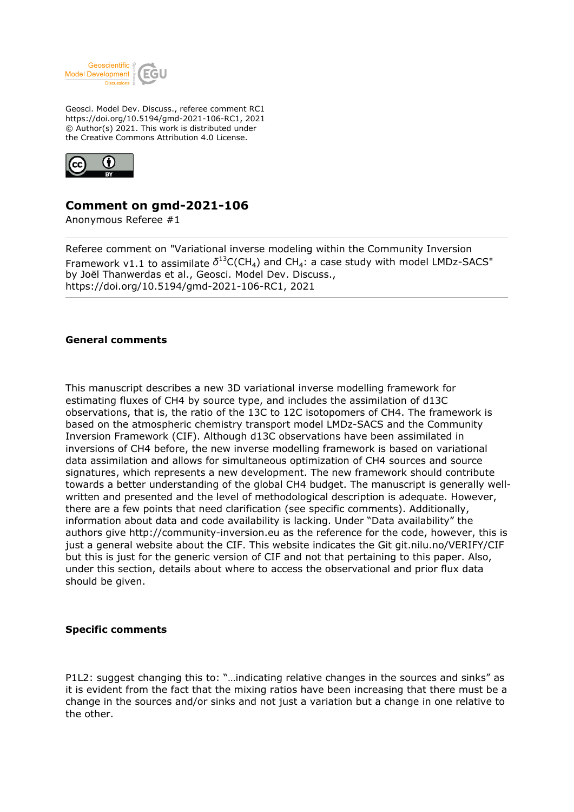

Geosci. Model Dev. Discuss., referee comment RC1 https://doi.org/10.5194/gmd-2021-106-RC1, 2021 © Author(s) 2021. This work is distributed under the Creative Commons Attribution 4.0 License.



## **Comment on gmd-2021-106**

Anonymous Referee #1

Referee comment on "Variational inverse modeling within the Community Inversion Framework v1.1 to assimilate  $\delta^{13}$ C(CH<sub>4</sub>) and CH<sub>4</sub>: a case study with model LMDz-SACS" by Joël Thanwerdas et al., Geosci. Model Dev. Discuss., https://doi.org/10.5194/gmd-2021-106-RC1, 2021

## **General comments**

This manuscript describes a new 3D variational inverse modelling framework for estimating fluxes of CH4 by source type, and includes the assimilation of d13C observations, that is, the ratio of the 13C to 12C isotopomers of CH4. The framework is based on the atmospheric chemistry transport model LMDz-SACS and the Community Inversion Framework (CIF). Although d13C observations have been assimilated in inversions of CH4 before, the new inverse modelling framework is based on variational data assimilation and allows for simultaneous optimization of CH4 sources and source signatures, which represents a new development. The new framework should contribute towards a better understanding of the global CH4 budget. The manuscript is generally wellwritten and presented and the level of methodological description is adequate. However, there are a few points that need clarification (see specific comments). Additionally, information about data and code availability is lacking. Under "Data availability" the authors give http://community-inversion.eu as the reference for the code, however, this is just a general website about the CIF. This website indicates the Git git.nilu.no/VERIFY/CIF but this is just for the generic version of CIF and not that pertaining to this paper. Also, under this section, details about where to access the observational and prior flux data should be given.

## **Specific comments**

P1L2: suggest changing this to: "…indicating relative changes in the sources and sinks" as it is evident from the fact that the mixing ratios have been increasing that there must be a change in the sources and/or sinks and not just a variation but a change in one relative to the other.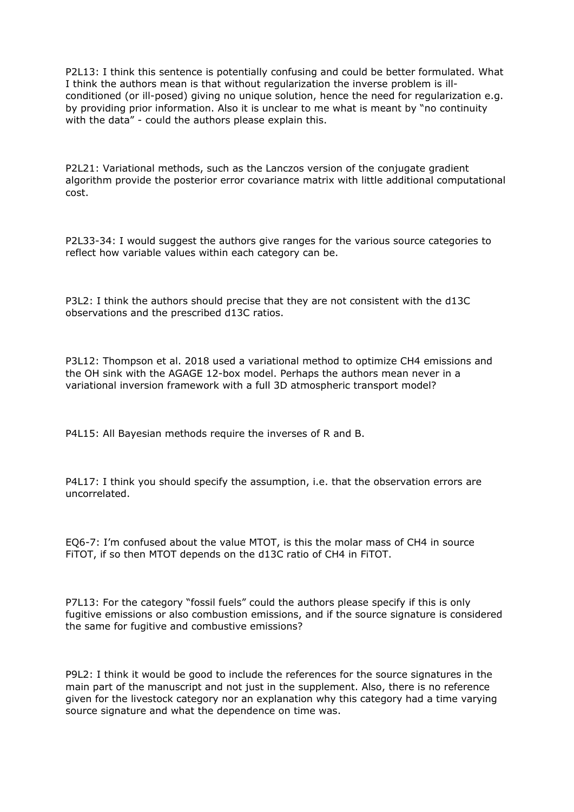P2L13: I think this sentence is potentially confusing and could be better formulated. What I think the authors mean is that without regularization the inverse problem is illconditioned (or ill-posed) giving no unique solution, hence the need for regularization e.g. by providing prior information. Also it is unclear to me what is meant by "no continuity with the data" - could the authors please explain this.

P2L21: Variational methods, such as the Lanczos version of the conjugate gradient algorithm provide the posterior error covariance matrix with little additional computational cost.

P2L33-34: I would suggest the authors give ranges for the various source categories to reflect how variable values within each category can be.

P3L2: I think the authors should precise that they are not consistent with the d13C observations and the prescribed d13C ratios.

P3L12: Thompson et al. 2018 used a variational method to optimize CH4 emissions and the OH sink with the AGAGE 12-box model. Perhaps the authors mean never in a variational inversion framework with a full 3D atmospheric transport model?

P4L15: All Bayesian methods require the inverses of R and B.

P4L17: I think you should specify the assumption, i.e. that the observation errors are uncorrelated.

EQ6-7: I'm confused about the value MTOT, is this the molar mass of CH4 in source FiTOT, if so then MTOT depends on the d13C ratio of CH4 in FiTOT.

P7L13: For the category "fossil fuels" could the authors please specify if this is only fugitive emissions or also combustion emissions, and if the source signature is considered the same for fugitive and combustive emissions?

P9L2: I think it would be good to include the references for the source signatures in the main part of the manuscript and not just in the supplement. Also, there is no reference given for the livestock category nor an explanation why this category had a time varying source signature and what the dependence on time was.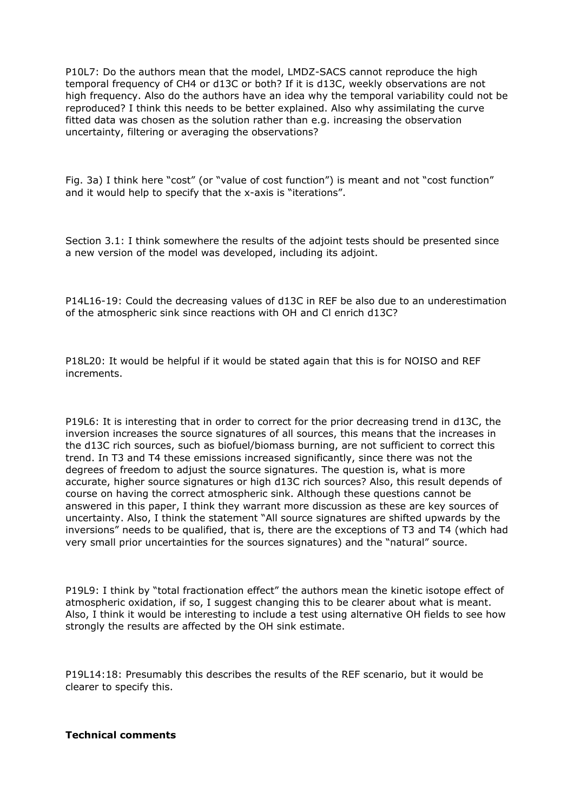P10L7: Do the authors mean that the model, LMDZ-SACS cannot reproduce the high temporal frequency of CH4 or d13C or both? If it is d13C, weekly observations are not high frequency. Also do the authors have an idea why the temporal variability could not be reproduced? I think this needs to be better explained. Also why assimilating the curve fitted data was chosen as the solution rather than e.g. increasing the observation uncertainty, filtering or averaging the observations?

Fig. 3a) I think here "cost" (or "value of cost function") is meant and not "cost function" and it would help to specify that the x-axis is "iterations".

Section 3.1: I think somewhere the results of the adjoint tests should be presented since a new version of the model was developed, including its adjoint.

P14L16-19: Could the decreasing values of d13C in REF be also due to an underestimation of the atmospheric sink since reactions with OH and Cl enrich d13C?

P18L20: It would be helpful if it would be stated again that this is for NOISO and REF increments.

P19L6: It is interesting that in order to correct for the prior decreasing trend in d13C, the inversion increases the source signatures of all sources, this means that the increases in the d13C rich sources, such as biofuel/biomass burning, are not sufficient to correct this trend. In T3 and T4 these emissions increased significantly, since there was not the degrees of freedom to adjust the source signatures. The question is, what is more accurate, higher source signatures or high d13C rich sources? Also, this result depends of course on having the correct atmospheric sink. Although these questions cannot be answered in this paper, I think they warrant more discussion as these are key sources of uncertainty. Also, I think the statement "All source signatures are shifted upwards by the inversions" needs to be qualified, that is, there are the exceptions of T3 and T4 (which had very small prior uncertainties for the sources signatures) and the "natural" source.

P19L9: I think by "total fractionation effect" the authors mean the kinetic isotope effect of atmospheric oxidation, if so, I suggest changing this to be clearer about what is meant. Also, I think it would be interesting to include a test using alternative OH fields to see how strongly the results are affected by the OH sink estimate.

P19L14:18: Presumably this describes the results of the REF scenario, but it would be clearer to specify this.

## **Technical comments**